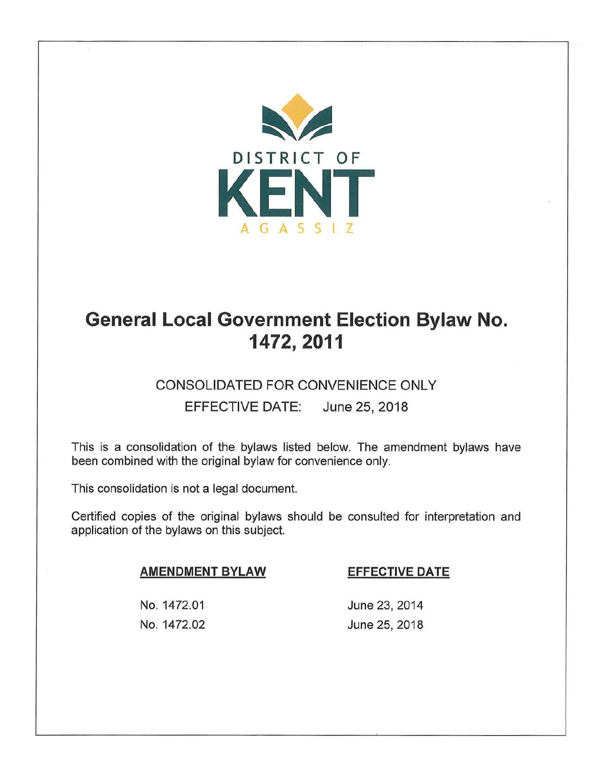

# **General Local Government Election Bylaw No. 1472,2011**

### CONSOLIDATED FOR CONVENIENCE ONLY

EFFECTIVE DATE: June 25, 2018

This is a consolidation of the bylaws listed below. The amendment bylaws have been combined with the original bylaw for convenience only.

This consolidation is not a legal document.

Certified copies of the original bylaws should be consulted for interpretation and application of the bylaws on this subject.

#### **AMENDMENT BYLAW**

#### **EFFECTIVE DATE**

No. 1472.01 No. 1472.02

June 23, 2014 June 25, 2018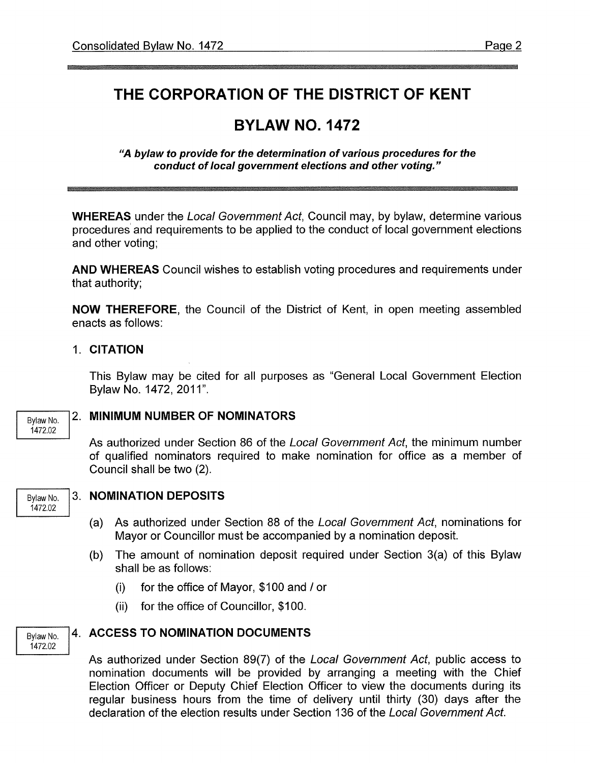## **THE CORPORATION OF THE DISTRICT OF KENT**

## **BYLAW NO. 1472**

**"A bylaw to provide for the determination of various procedures for the conduct of local government elections and other voting."** 

**WHEREAS** under the Local Government Act, Council may, by bylaw, determine various procedures and requirements to be applied to the conduct of local government elections and other voting;

**AND WHEREAS** Council wishes to establish voting procedures and requirements under that authority;

**NOW THEREFORE,** the Council of the District of Kent, in open meeting assembled enacts as follows:

1. **CITATION** 

This Bylaw may be cited for all purposes as "General Local Government Election Bylaw No. 1472, 2011".

Bylaw No. 1472.02

#### 2. **MINIMUM NUMBER OF NOMINATORS**

As authorized under Section 86 of the Local Government Act, the minimum number of qualified nominators required to make nomination for office as a member of Council shall be two (2).



Bylaw No. 1472.02

#### Bylaw No. 3. **NOMINATION DEPOSITS**

- (a) As authorized under Section 88 of the Local Government Act, nominations for Mayor or Councillor must be accompanied by a nomination deposit.
- (b) The amount of nomination deposit required under Section 3(a) of this Bylaw shall be as follows:
	- (i) for the office of Mayor, \$100 and/ or
	- (ii) for the office of Councillor, \$100.

#### **4. ACCESS TO NOMINATION DOCUMENTS**

As authorized under Section 89(7) of the Local Government Act, public access to nomination documents will be provided by arranging a meeting with the Chief Election Officer or Deputy Chief Election Officer to view the documents during its regular business hours from the time of delivery until thirty (30) days after the declaration of the election results under Section 136 of the Local Government Act.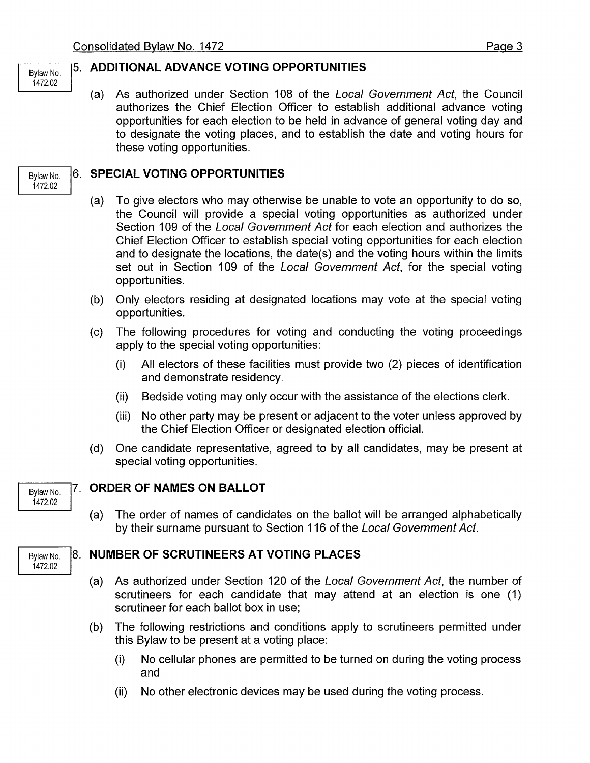Bylaw No. 1472.02

Bylaw No. 1472.02

1472.02

1472.02

#### 5. **ADDITIONAL ADVANCE VOTING OPPORTUNITIES**

(a) As authorized under Section 108 of the Local Government Act, the Council authorizes the Chief Election Officer to establish additional advance voting opportunities for each election to be held in advance of general voting day and to designate the voting places, and to establish the date and voting hours for these voting opportunities.

#### 6. **SPECIAL VOTING OPPORTUNITIES**

- (a) To give electors who may otherwise be unable to vote an opportunity to do so, the Council will provide a special voting opportunities as authorized under Section 109 of the Local Government Act for each election and authorizes the Chief Election Officer to establish special voting opportunities for each election and to designate the locations, the date(s) and the voting hours within the limits set out in Section 109 of the Local Government Act, for the special voting opportunities.
- (b) Only electors residing at designated locations may vote at the special voting opportunities.
- (c) The following procedures for voting and conducting the voting proceedings apply to the special voting opportunities:
	- (i) All electors of these facilities must provide two (2) pieces of identification and demonstrate residency.
	- (ii) Bedside voting may only occur with the assistance of the elections clerk.
	- (iii) No other party may be present or adjacent to the voter unless approved by the Chief Election Officer or designated election official.
- (d) One candidate representative, agreed to by all candidates, may be present at special voting opportunities.

#### Bylaw No. 7. **ORDER OF NAMES ON BALLOT**

(a) The order of names of candidates on the ballot will be arranged alphabetically by their surname pursuant to Section 116 of the Local Government Act.

#### Bylaw No. 8. **NUMBER OF SCRUTINEERS AT VOTING PLACES**

- (a) As authorized under Section 120 of the Local Government Act, the number of scrutineers for each candidate that may attend at an election is one (1) scrutineer for each ballot box in use;
- (b) The following restrictions and conditions apply to scrutineers permitted under this Bylaw to be present at a voting place:
	- (i) No cellular phones are permitted to be turned on during the voting process and
	- (ii) No other electronic devices may be used during the voting process.